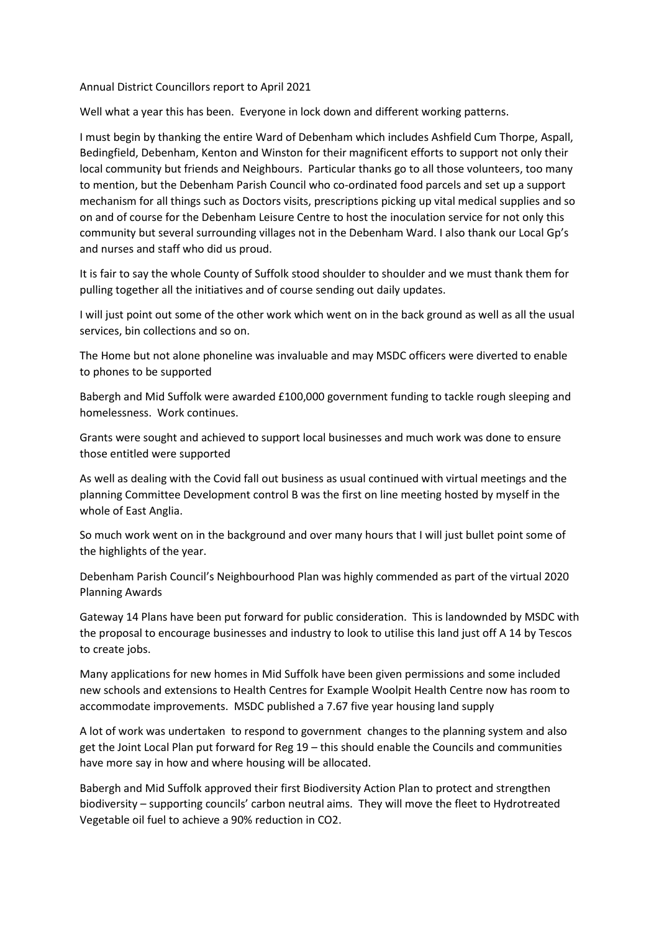Annual District Councillors report to April 2021

Well what a year this has been. Everyone in lock down and different working patterns.

I must begin by thanking the entire Ward of Debenham which includes Ashfield Cum Thorpe, Aspall, Bedingfield, Debenham, Kenton and Winston for their magnificent efforts to support not only their local community but friends and Neighbours. Particular thanks go to all those volunteers, too many to mention, but the Debenham Parish Council who co-ordinated food parcels and set up a support mechanism for all things such as Doctors visits, prescriptions picking up vital medical supplies and so on and of course for the Debenham Leisure Centre to host the inoculation service for not only this community but several surrounding villages not in the Debenham Ward. I also thank our Local Gp's and nurses and staff who did us proud.

It is fair to say the whole County of Suffolk stood shoulder to shoulder and we must thank them for pulling together all the initiatives and of course sending out daily updates.

I will just point out some of the other work which went on in the back ground as well as all the usual services, bin collections and so on.

The Home but not alone phoneline was invaluable and may MSDC officers were diverted to enable to phones to be supported

Babergh and Mid Suffolk were awarded £100,000 government funding to tackle rough sleeping and homelessness. Work continues.

Grants were sought and achieved to support local businesses and much work was done to ensure those entitled were supported

As well as dealing with the Covid fall out business as usual continued with virtual meetings and the planning Committee Development control B was the first on line meeting hosted by myself in the whole of East Anglia.

So much work went on in the background and over many hours that I will just bullet point some of the highlights of the year.

Debenham Parish Council's Neighbourhood Plan was highly commended as part of the virtual 2020 Planning Awards

Gateway 14 Plans have been put forward for public consideration. This is landownded by MSDC with the proposal to encourage businesses and industry to look to utilise this land just off A 14 by Tescos to create jobs.

Many applications for new homes in Mid Suffolk have been given permissions and some included new schools and extensions to Health Centres for Example Woolpit Health Centre now has room to accommodate improvements. MSDC published a 7.67 five year housing land supply

A lot of work was undertaken to respond to government changes to the planning system and also get the Joint Local Plan put forward for Reg 19 – this should enable the Councils and communities have more say in how and where housing will be allocated.

Babergh and Mid Suffolk approved their first Biodiversity Action Plan to protect and strengthen biodiversity – supporting councils' carbon neutral aims. They will move the fleet to Hydrotreated Vegetable oil fuel to achieve a 90% reduction in CO2.